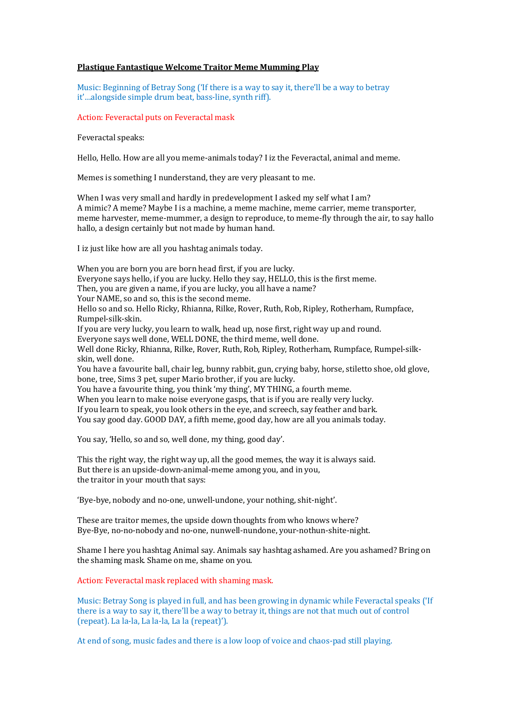## **Plastique Fantastique Welcome Traitor Meme Mumming Play**

Music: Beginning of Betray Song ('If there is a way to say it, there'll be a way to betray it'...alongside simple drum beat, bass-line, synth riff).

Action: Feveractal puts on Feveractal mask

Feveractal speaks:

Hello, Hello, How are all you meme-animals today? I iz the Feveractal, animal and meme.

Memes is something I nunderstand, they are very pleasant to me.

When I was very small and hardly in predevelopment I asked my self what I am? A mimic? A meme? Maybe I is a machine, a meme machine, meme carrier, meme transporter, meme harvester, meme-mummer, a design to reproduce, to meme-fly through the air, to say hallo hallo, a design certainly but not made by human hand.

I iz just like how are all you hashtag animals today.

When you are born you are born head first, if you are lucky. Everyone says hello, if you are lucky. Hello they say, HELLO, this is the first meme. Then, you are given a name, if you are lucky, you all have a name? Your NAME, so and so, this is the second meme. Hello so and so. Hello Ricky, Rhianna, Rilke, Rover, Ruth, Rob, Ripley, Rotherham, Rumpface, Rumpel-silk-skin. If you are very lucky, you learn to walk, head up, nose first, right way up and round. Everyone says well done, WELL DONE, the third meme, well done. Well done Ricky, Rhianna, Rilke, Rover, Ruth, Rob, Ripley, Rotherham, Rumpface, Rumpel-silkskin, well done. You have a favourite ball, chair leg, bunny rabbit, gun, crying baby, horse, stiletto shoe, old glove, bone, tree, Sims 3 pet, super Mario brother, if you are lucky. You have a favourite thing, you think 'my thing', MY THING, a fourth meme. When you learn to make noise everyone gasps, that is if you are really very lucky. If you learn to speak, you look others in the eye, and screech, say feather and bark. You say good day. GOOD DAY, a fifth meme, good day, how are all you animals today.

You say, 'Hello, so and so, well done, my thing, good day'.

This the right way, the right way up, all the good memes, the way it is always said. But there is an upside-down-animal-meme among you, and in you, the traitor in your mouth that says:

'Bye-bye, nobody and no-one, unwell-undone, your nothing, shit-night'.

These are traitor memes, the upside down thoughts from who knows where? Bye-Bye, no-no-nobody and no-one, nunwell-nundone, your-nothun-shite-night.

Shame I here you hashtag Animal say. Animals say hashtag ashamed. Are you ashamed? Bring on the shaming mask. Shame on me, shame on you.

Action: Feveractal mask replaced with shaming mask.

Music: Betray Song is played in full, and has been growing in dynamic while Feveractal speaks ('If there is a way to say it, there'll be a way to betray it, things are not that much out of control (repeat). La la-la, La la-la, La la (repeat)').

At end of song, music fades and there is a low loop of voice and chaos-pad still playing.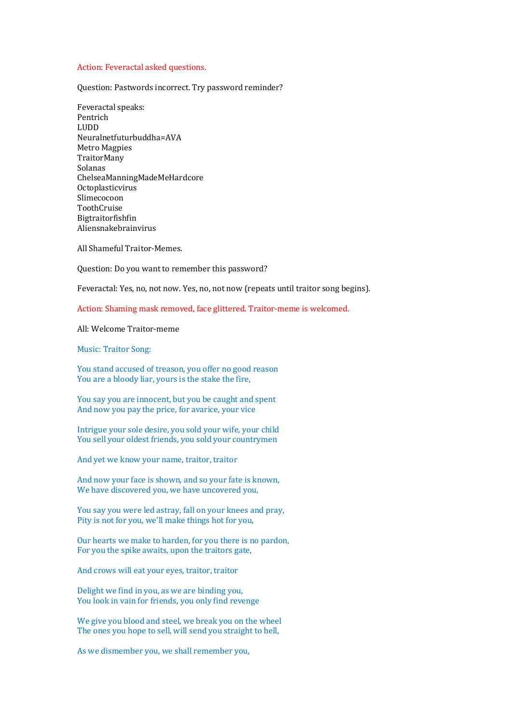## Action: Feveractal asked questions.

Question: Pastwords incorrect. Try password reminder?

Feveractal speaks: Pentrich LUDD Neuralnetfuturbuddha=AVA Metro Magpies TraitorMany Solanas ChelseaManningMadeMeHardcore Octoplasticvirus Slimecocoon ToothCruise Bigtraitorfishfin Aliensnakebrainvirus

All Shameful Traitor-Memes.

Question: Do you want to remember this password?

Feveractal: Yes, no, not now. Yes, no, not now (repeats until traitor song begins).

Action: Shaming mask removed, face glittered. Traitor-meme is welcomed.

## All<sup>.</sup> Welcome Traitor-meme

Music: Traitor Song:

You stand accused of treason, you offer no good reason You are a bloody liar, yours is the stake the fire,

You say you are innocent, but you be caught and spent And now you pay the price, for avarice, your vice

Intrigue your sole desire, you sold your wife, your child You sell your oldest friends, you sold your countrymen

And yet we know your name, traitor, traitor

And now your face is shown, and so your fate is known, We have discovered you, we have uncovered you,

You say you were led astray, fall on your knees and pray, Pity is not for you, we'll make things hot for you,

Our hearts we make to harden, for you there is no pardon, For you the spike awaits, upon the traitors gate,

And crows will eat your eyes, traitor, traitor

Delight we find in you, as we are binding you, You look in vain for friends, you only find revenge

We give you blood and steel, we break you on the wheel The ones you hope to sell, will send you straight to hell,

As we dismember you, we shall remember you,